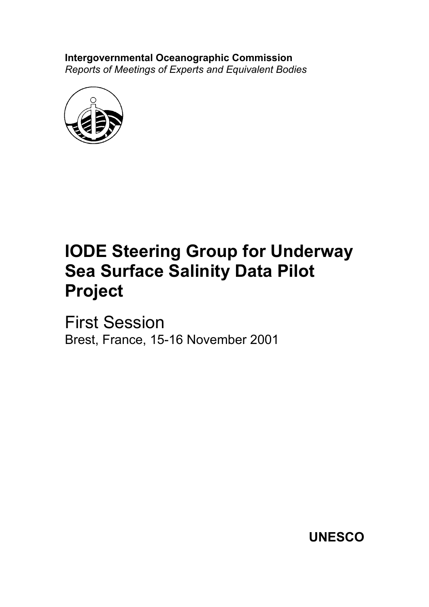**Intergovernmental Oceanographic Commission** *Reports of Meetings of Experts and Equivalent Bodies*



# **IODE Steering Group for Underway Sea Surface Salinity Data Pilot Project**

First Session Brest, France, 15-16 November 2001

**UNESCO**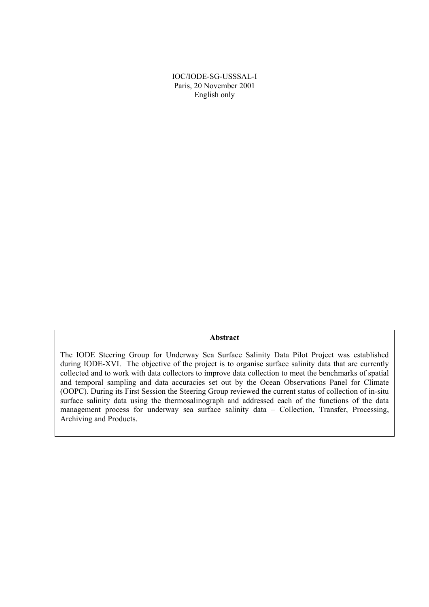IOC/IODE-SG-USSSAL-I Paris, 20 November 2001 English only

#### **Abstract**

The IODE Steering Group for Underway Sea Surface Salinity Data Pilot Project was established during IODE-XVI. The objective of the project is to organise surface salinity data that are currently collected and to work with data collectors to improve data collection to meet the benchmarks of spatial and temporal sampling and data accuracies set out by the Ocean Observations Panel for Climate (OOPC). During its First Session the Steering Group reviewed the current status of collection of in-situ surface salinity data using the thermosalinograph and addressed each of the functions of the data management process for underway sea surface salinity data – Collection, Transfer, Processing, Archiving and Products.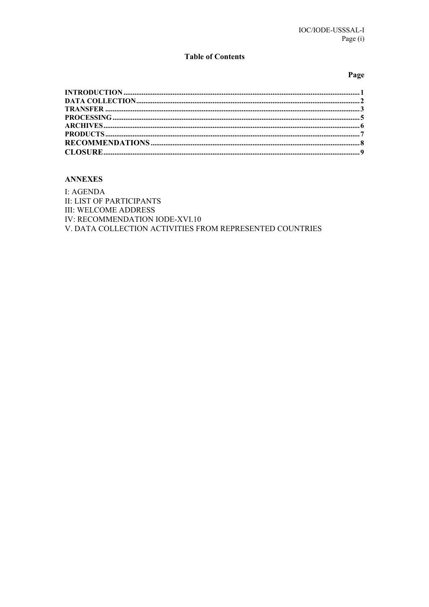## **Table of Contents**

#### Page

# **ANNEXES**

I: AGENDA **II: LIST OF PARTICIPANTS III: WELCOME ADDRESS** IV: RECOMMENDATION IODE-XVI.10 V. DATA COLLECTION ACTIVITIES FROM REPRESENTED COUNTRIES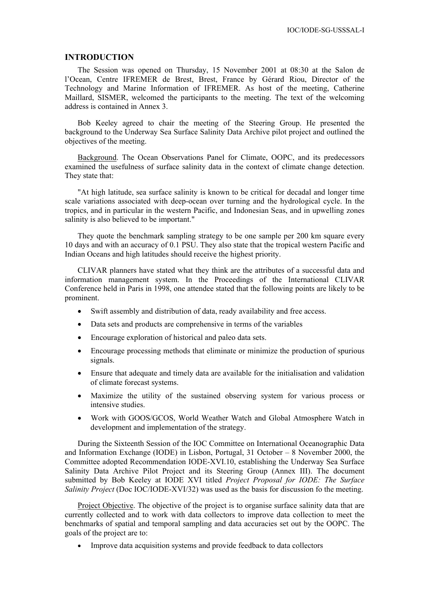#### <span id="page-4-0"></span>**INTRODUCTION**

The Session was opened on Thursday, 15 November 2001 at 08:30 at the Salon de l'Ocean, Centre IFREMER de Brest, Brest, France by Gérard Riou, Director of the Technology and Marine Information of IFREMER. As host of the meeting, Catherine Maillard, SISMER, welcomed the participants to the meeting. The text of the welcoming address is contained in Annex 3.

Bob Keeley agreed to chair the meeting of the Steering Group. He presented the background to the Underway Sea Surface Salinity Data Archive pilot project and outlined the objectives of the meeting.

Background. The Ocean Observations Panel for Climate, OOPC, and its predecessors examined the usefulness of surface salinity data in the context of climate change detection. They state that:

"At high latitude, sea surface salinity is known to be critical for decadal and longer time scale variations associated with deep-ocean over turning and the hydrological cycle. In the tropics, and in particular in the western Pacific, and Indonesian Seas, and in upwelling zones salinity is also believed to be important."

They quote the benchmark sampling strategy to be one sample per 200 km square every 10 days and with an accuracy of 0.1 PSU. They also state that the tropical western Pacific and Indian Oceans and high latitudes should receive the highest priority.

CLIVAR planners have stated what they think are the attributes of a successful data and information management system. In the Proceedings of the International CLIVAR Conference held in Paris in 1998, one attendee stated that the following points are likely to be prominent.

- Swift assembly and distribution of data, ready availability and free access.
- Data sets and products are comprehensive in terms of the variables
- Encourage exploration of historical and paleo data sets.
- Encourage processing methods that eliminate or minimize the production of spurious signals.
- Ensure that adequate and timely data are available for the initialisation and validation of climate forecast systems.
- Maximize the utility of the sustained observing system for various process or intensive studies.
- Work with GOOS/GCOS, World Weather Watch and Global Atmosphere Watch in development and implementation of the strategy.

During the Sixteenth Session of the IOC Committee on International Oceanographic Data and Information Exchange (IODE) in Lisbon, Portugal, 31 October – 8 November 2000, the Committee adopted Recommendation IODE-XVI.10, establishing the Underway Sea Surface Salinity Data Archive Pilot Project and its Steering Group (Annex III). The document submitted by Bob Keeley at IODE XVI titled *Project Proposal for IODE: The Surface Salinity Project* (Doc IOC/IODE-XVI/32) was used as the basis for discussion fo the meeting.

Project Objective. The objective of the project is to organise surface salinity data that are currently collected and to work with data collectors to improve data collection to meet the benchmarks of spatial and temporal sampling and data accuracies set out by the OOPC. The goals of the project are to:

• Improve data acquisition systems and provide feedback to data collectors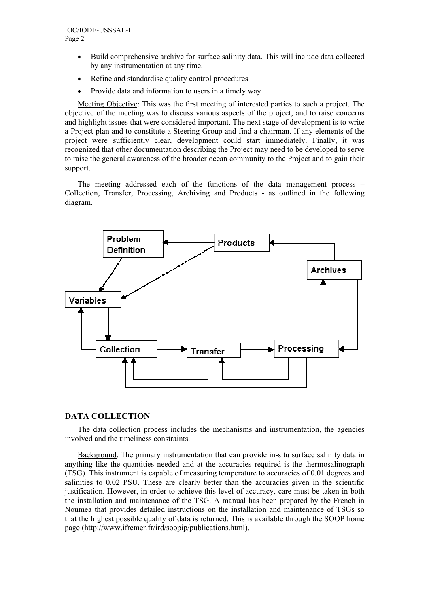- <span id="page-5-0"></span>• Build comprehensive archive for surface salinity data. This will include data collected by any instrumentation at any time.
- Refine and standardise quality control procedures
- Provide data and information to users in a timely way

Meeting Objective: This was the first meeting of interested parties to such a project. The objective of the meeting was to discuss various aspects of the project, and to raise concerns and highlight issues that were considered important. The next stage of development is to write a Project plan and to constitute a Steering Group and find a chairman. If any elements of the project were sufficiently clear, development could start immediately. Finally, it was recognized that other documentation describing the Project may need to be developed to serve to raise the general awareness of the broader ocean community to the Project and to gain their support.

The meeting addressed each of the functions of the data management process – Collection, Transfer, Processing, Archiving and Products - as outlined in the following diagram.



# **DATA COLLECTION**

The data collection process includes the mechanisms and instrumentation, the agencies involved and the timeliness constraints.

Background. The primary instrumentation that can provide in-situ surface salinity data in anything like the quantities needed and at the accuracies required is the thermosalinograph (TSG). This instrument is capable of measuring temperature to accuracies of 0.01 degrees and salinities to 0.02 PSU. These are clearly better than the accuracies given in the scientific justification. However, in order to achieve this level of accuracy, care must be taken in both the installation and maintenance of the TSG. A manual has been prepared by the French in Noumea that provides detailed instructions on the installation and maintenance of TSGs so that the highest possible quality of data is returned. This is available through the SOOP home page (http://www.ifremer.fr/ird/soopip/publications.html).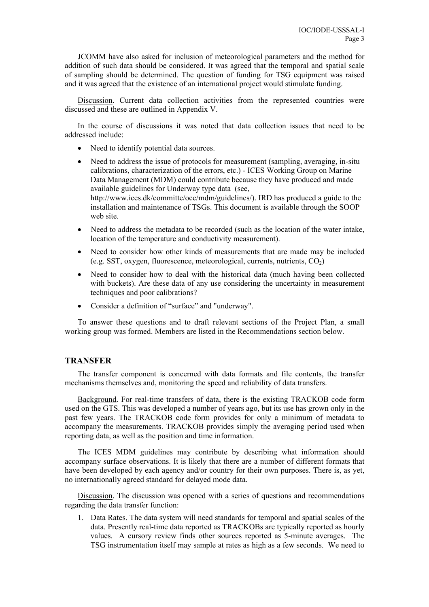<span id="page-6-0"></span>JCOMM have also asked for inclusion of meteorological parameters and the method for addition of such data should be considered. It was agreed that the temporal and spatial scale of sampling should be determined. The question of funding for TSG equipment was raised and it was agreed that the existence of an international project would stimulate funding.

Discussion. Current data collection activities from the represented countries were discussed and these are outlined in Appendix V.

In the course of discussions it was noted that data collection issues that need to be addressed include:

- Need to identify potential data sources.
- Need to address the issue of protocols for measurement (sampling, averaging, in-situ calibrations, characterization of the errors, etc.) - ICES Working Group on Marine Data Management (MDM) could contribute because they have produced and made available guidelines for Underway type data (see, http://www.ices.dk/committe/occ/mdm/guidelines/). IRD has produced a guide to the installation and maintenance of TSGs. This document is available through the SOOP web site.
- Need to address the metadata to be recorded (such as the location of the water intake, location of the temperature and conductivity measurement).
- Need to consider how other kinds of measurements that are made may be included (e.g. SST, oxygen, fluorescence, meteorological, currents, nutrients,  $CO<sub>2</sub>$ )
- Need to consider how to deal with the historical data (much having been collected with buckets). Are these data of any use considering the uncertainty in measurement techniques and poor calibrations?
- Consider a definition of "surface" and "underway".

To answer these questions and to draft relevant sections of the Project Plan, a small working group was formed. Members are listed in the Recommendations section below.

# **TRANSFER**

The transfer component is concerned with data formats and file contents, the transfer mechanisms themselves and, monitoring the speed and reliability of data transfers.

Background. For real-time transfers of data, there is the existing TRACKOB code form used on the GTS. This was developed a number of years ago, but its use has grown only in the past few years. The TRACKOB code form provides for only a minimum of metadata to accompany the measurements. TRACKOB provides simply the averaging period used when reporting data, as well as the position and time information.

The ICES MDM guidelines may contribute by describing what information should accompany surface observations. It is likely that there are a number of different formats that have been developed by each agency and/or country for their own purposes. There is, as yet, no internationally agreed standard for delayed mode data.

Discussion. The discussion was opened with a series of questions and recommendations regarding the data transfer function:

1. Data Rates. The data system will need standards for temporal and spatial scales of the data. Presently real-time data reported as TRACKOBs are typically reported as hourly values. A cursory review finds other sources reported as 5-minute averages. The TSG instrumentation itself may sample at rates as high as a few seconds. We need to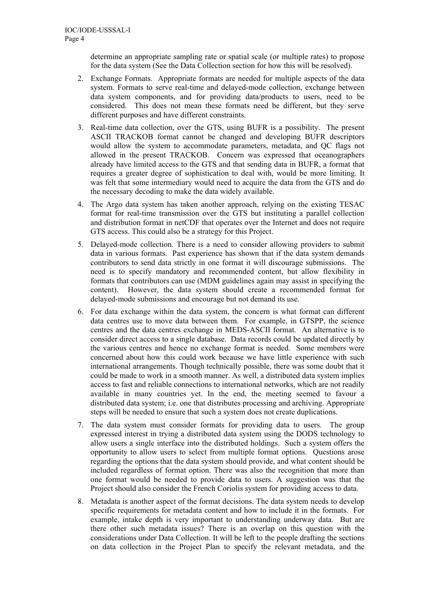determine an appropriate sampling rate or spatial scale (or multiple rates) to propose for the data system (See the Data Collection section for how this will be resolved).

- 2. Exchange Formats. Appropriate formats are needed for multiple aspects of the data system. Formats to serve real-time and delayed-mode collection, exchange between data system components, and for providing data/products to users, need to be considered. This does not mean these formats need be different, but they serve different purposes and have different constraints.
- 3. Real-time data collection, over the GTS, using BUFR is a possibility. The present ASCII TRACKOB format cannot be changed and developing BUFR descriptors would allow the system to accommodate parameters, metadata, and QC flags not allowed in the present TRACKOB. Concern was expressed that oceanographers already have limited access to the GTS and that sending data in BUFR, a format that requires a greater degree of sophistication to deal with, would be more limiting. It was felt that some intermediary would need to acquire the data from the GTS and do the necessary decoding to make the data widely available.
- 4. The Argo data system has taken another approach, relying on the existing TESAC format for real-time transmission over the GTS but instituting a parallel collection and distribution format in netCDF that operates over the Internet and does not require GTS access. This could also be a strategy for this Project.
- 5. Delayed-mode collection. There is a need to consider allowing providers to submit data in various formats. Past experience has shown that if the data system demands contributors to send data strictly in one format it will discourage submissions. The need is to specify mandatory and recommended content, but allow flexibility in formats that contributors can use (MDM guidelines again may assist in specifying the content). However, the data system should create a recommended format for delayed-mode submissions and encourage but not demand its use.
- 6. For data exchange within the data system, the concern is what format can different data centres use to move data between them. For example, in GTSPP, the science centres and the data centres exchange in MEDS-ASCII format. An alternative is to consider direct access to a single database. Data records could be updated directly by the various centres and hence no exchange format is needed. Some members were concerned about how this could work because we have little experience with such international arrangements. Though technically possible, there was some doubt that it could be made to work in a smooth manner. As well, a distributed data system implies access to fast and reliable connections to international networks, which are not readily available in many countries yet. In the end, the meeting seemed to favour a distributed data system; i.e. one that distributes processing and archiving. Appropriate steps will be needed to ensure that such a system does not create duplications.
- 7. The data system must consider formats for providing data to users. The group expressed interest in trying a distributed data system using the DODS technology to allow users a single interface into the distributed holdings. Such a system offers the opportunity to allow users to select from multiple format options. Questions arose regarding the options that the data system should provide, and what content should be included regardless of format option. There was also the recognition that more than one format would be needed to provide data to users. A suggestion was that the Project should also consider the French Coriolis system for providing access to data.
- 8. Metadata is another aspect of the format decisions. The data system needs to develop specific requirements for metadata content and how to include it in the formats. For example, intake depth is very important to understanding underway data. But are there other such metadata issues? There is an overlap on this question with the considerations under Data Collection. It will be left to the people drafting the sections on data collection in the Project Plan to specify the relevant metadata, and the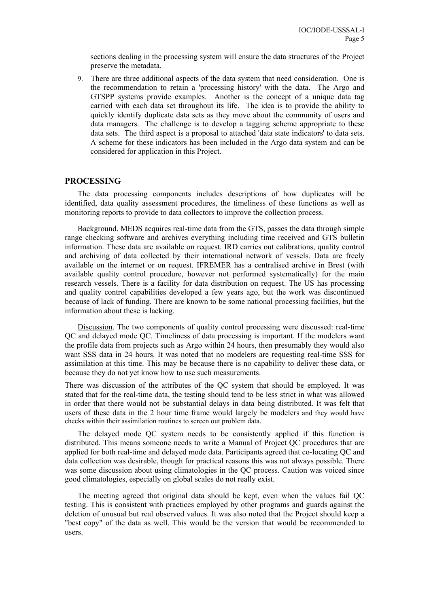<span id="page-8-0"></span>sections dealing in the processing system will ensure the data structures of the Project preserve the metadata.

9. There are three additional aspects of the data system that need consideration. One is the recommendation to retain a 'processing history' with the data. The Argo and GTSPP systems provide examples. Another is the concept of a unique data tag carried with each data set throughout its life. The idea is to provide the ability to quickly identify duplicate data sets as they move about the community of users and data managers. The challenge is to develop a tagging scheme appropriate to these data sets. The third aspect is a proposal to attached 'data state indicators' to data sets. A scheme for these indicators has been included in the Argo data system and can be considered for application in this Project.

# **PROCESSING**

The data processing components includes descriptions of how duplicates will be identified, data quality assessment procedures, the timeliness of these functions as well as monitoring reports to provide to data collectors to improve the collection process.

Background. MEDS acquires real-time data from the GTS, passes the data through simple range checking software and archives everything including time received and GTS bulletin information. These data are available on request. IRD carries out calibrations, quality control and archiving of data collected by their international network of vessels. Data are freely available on the internet or on request. IFREMER has a centralised archive in Brest (with available quality control procedure, however not performed systematically) for the main research vessels. There is a facility for data distribution on request. The US has processing and quality control capabilities developed a few years ago, but the work was discontinued because of lack of funding. There are known to be some national processing facilities, but the information about these is lacking.

Discussion. The two components of quality control processing were discussed: real-time QC and delayed mode QC. Timeliness of data processing is important. If the modelers want the profile data from projects such as Argo within 24 hours, then presumably they would also want SSS data in 24 hours. It was noted that no modelers are requesting real-time SSS for assimilation at this time. This may be because there is no capability to deliver these data, or because they do not yet know how to use such measurements.

There was discussion of the attributes of the QC system that should be employed. It was stated that for the real-time data, the testing should tend to be less strict in what was allowed in order that there would not be substantial delays in data being distributed. It was felt that users of these data in the 2 hour time frame would largely be modelers and they would have checks within their assimilation routines to screen out problem data.

The delayed mode QC system needs to be consistently applied if this function is distributed. This means someone needs to write a Manual of Project QC procedures that are applied for both real-time and delayed mode data. Participants agreed that co-locating QC and data collection was desirable, though for practical reasons this was not always possible. There was some discussion about using climatologies in the QC process. Caution was voiced since good climatologies, especially on global scales do not really exist.

The meeting agreed that original data should be kept, even when the values fail QC testing. This is consistent with practices employed by other programs and guards against the deletion of unusual but real observed values. It was also noted that the Project should keep a "best copy" of the data as well. This would be the version that would be recommended to users.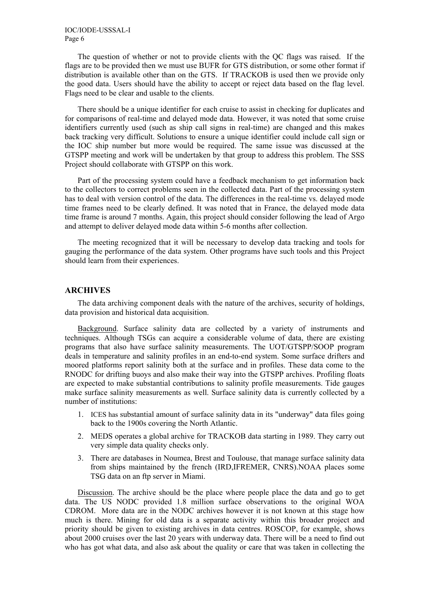<span id="page-9-0"></span>The question of whether or not to provide clients with the QC flags was raised. If the flags are to be provided then we must use BUFR for GTS distribution, or some other format if distribution is available other than on the GTS. If TRACKOB is used then we provide only the good data. Users should have the ability to accept or reject data based on the flag level. Flags need to be clear and usable to the clients.

There should be a unique identifier for each cruise to assist in checking for duplicates and for comparisons of real-time and delayed mode data. However, it was noted that some cruise identifiers currently used (such as ship call signs in real-time) are changed and this makes back tracking very difficult. Solutions to ensure a unique identifier could include call sign or the IOC ship number but more would be required. The same issue was discussed at the GTSPP meeting and work will be undertaken by that group to address this problem. The SSS Project should collaborate with GTSPP on this work.

Part of the processing system could have a feedback mechanism to get information back to the collectors to correct problems seen in the collected data. Part of the processing system has to deal with version control of the data. The differences in the real-time vs. delayed mode time frames need to be clearly defined. It was noted that in France, the delayed mode data time frame is around 7 months. Again, this project should consider following the lead of Argo and attempt to deliver delayed mode data within 5-6 months after collection.

The meeting recognized that it will be necessary to develop data tracking and tools for gauging the performance of the data system. Other programs have such tools and this Project should learn from their experiences.

# **ARCHIVES**

The data archiving component deals with the nature of the archives, security of holdings, data provision and historical data acquisition.

Background. Surface salinity data are collected by a variety of instruments and techniques. Although TSGs can acquire a considerable volume of data, there are existing programs that also have surface salinity measurements. The UOT/GTSPP/SOOP program deals in temperature and salinity profiles in an end-to-end system. Some surface drifters and moored platforms report salinity both at the surface and in profiles. These data come to the RNODC for drifting buoys and also make their way into the GTSPP archives. Profiling floats are expected to make substantial contributions to salinity profile measurements. Tide gauges make surface salinity measurements as well. Surface salinity data is currently collected by a number of institutions:

- 1. ICES has substantial amount of surface salinity data in its "underway" data files going back to the 1900s covering the North Atlantic.
- 2. MEDS operates a global archive for TRACKOB data starting in 1989. They carry out very simple data quality checks only.
- 3. There are databases in Noumea, Brest and Toulouse, that manage surface salinity data from ships maintained by the french (IRD,IFREMER, CNRS).NOAA places some TSG data on an ftp server in Miami.

Discussion. The archive should be the place where people place the data and go to get data. The US NODC provided 1.8 million surface observations to the original WOA CDROM. More data are in the NODC archives however it is not known at this stage how much is there. Mining for old data is a separate activity within this broader project and priority should be given to existing archives in data centres. ROSCOP, for example, shows about 2000 cruises over the last 20 years with underway data. There will be a need to find out who has got what data, and also ask about the quality or care that was taken in collecting the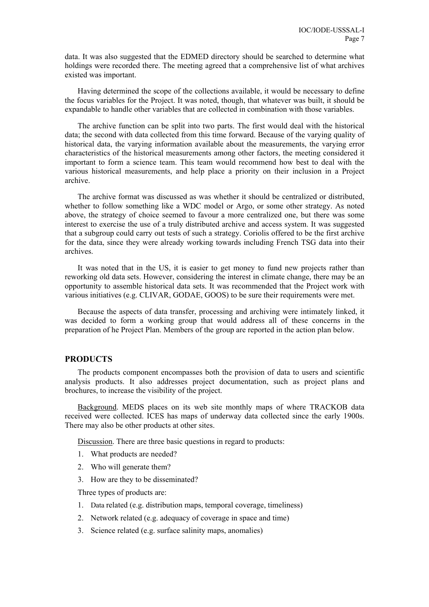<span id="page-10-0"></span>data. It was also suggested that the EDMED directory should be searched to determine what holdings were recorded there. The meeting agreed that a comprehensive list of what archives existed was important.

Having determined the scope of the collections available, it would be necessary to define the focus variables for the Project. It was noted, though, that whatever was built, it should be expandable to handle other variables that are collected in combination with those variables.

The archive function can be split into two parts. The first would deal with the historical data; the second with data collected from this time forward. Because of the varying quality of historical data, the varying information available about the measurements, the varying error characteristics of the historical measurements among other factors, the meeting considered it important to form a science team. This team would recommend how best to deal with the various historical measurements, and help place a priority on their inclusion in a Project archive.

The archive format was discussed as was whether it should be centralized or distributed, whether to follow something like a WDC model or Argo, or some other strategy. As noted above, the strategy of choice seemed to favour a more centralized one, but there was some interest to exercise the use of a truly distributed archive and access system. It was suggested that a subgroup could carry out tests of such a strategy. Coriolis offered to be the first archive for the data, since they were already working towards including French TSG data into their archives.

It was noted that in the US, it is easier to get money to fund new projects rather than reworking old data sets. However, considering the interest in climate change, there may be an opportunity to assemble historical data sets. It was recommended that the Project work with various initiatives (e.g. CLIVAR, GODAE, GOOS) to be sure their requirements were met.

Because the aspects of data transfer, processing and archiving were intimately linked, it was decided to form a working group that would address all of these concerns in the preparation of he Project Plan. Members of the group are reported in the action plan below.

## **PRODUCTS**

The products component encompasses both the provision of data to users and scientific analysis products. It also addresses project documentation, such as project plans and brochures, to increase the visibility of the project.

Background. MEDS places on its web site monthly maps of where TRACKOB data received were collected. ICES has maps of underway data collected since the early 1900s. There may also be other products at other sites.

Discussion. There are three basic questions in regard to products:

- 1. What products are needed?
- 2. Who will generate them?
- 3. How are they to be disseminated?

Three types of products are:

- 1. Data related (e.g. distribution maps, temporal coverage, timeliness)
- 2. Network related (e.g. adequacy of coverage in space and time)
- 3. Science related (e.g. surface salinity maps, anomalies)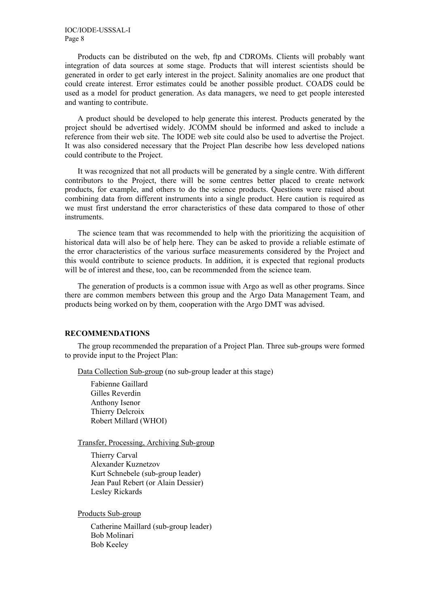<span id="page-11-0"></span>Products can be distributed on the web, ftp and CDROMs. Clients will probably want integration of data sources at some stage. Products that will interest scientists should be generated in order to get early interest in the project. Salinity anomalies are one product that could create interest. Error estimates could be another possible product. COADS could be used as a model for product generation. As data managers, we need to get people interested and wanting to contribute.

A product should be developed to help generate this interest. Products generated by the project should be advertised widely. JCOMM should be informed and asked to include a reference from their web site. The IODE web site could also be used to advertise the Project. It was also considered necessary that the Project Plan describe how less developed nations could contribute to the Project.

It was recognized that not all products will be generated by a single centre. With different contributors to the Project, there will be some centres better placed to create network products, for example, and others to do the science products. Questions were raised about combining data from different instruments into a single product. Here caution is required as we must first understand the error characteristics of these data compared to those of other instruments.

The science team that was recommended to help with the prioritizing the acquisition of historical data will also be of help here. They can be asked to provide a reliable estimate of the error characteristics of the various surface measurements considered by the Project and this would contribute to science products. In addition, it is expected that regional products will be of interest and these, too, can be recommended from the science team.

The generation of products is a common issue with Argo as well as other programs. Since there are common members between this group and the Argo Data Management Team, and products being worked on by them, cooperation with the Argo DMT was advised.

#### **RECOMMENDATIONS**

The group recommended the preparation of a Project Plan. Three sub-groups were formed to provide input to the Project Plan:

Data Collection Sub-group (no sub-group leader at this stage)

Fabienne Gaillard Gilles Reverdin Anthony Isenor Thierry Delcroix Robert Millard (WHOI)

Transfer, Processing, Archiving Sub-group

Thierry Carval Alexander Kuznetzov Kurt Schnebele (sub-group leader) Jean Paul Rebert (or Alain Dessier) Lesley Rickards

Products Sub-group

Catherine Maillard (sub-group leader) Bob Molinari Bob Keeley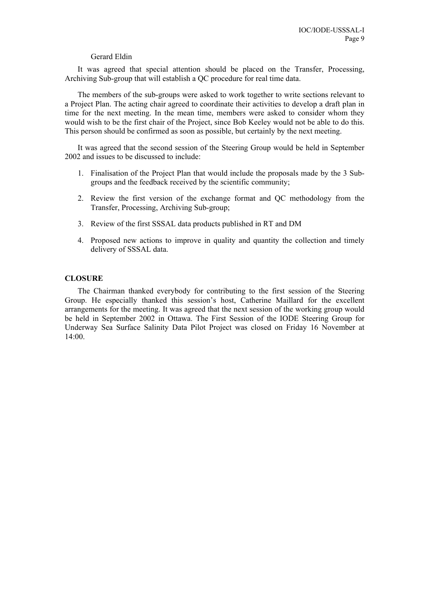#### Gerard Eldin

<span id="page-12-0"></span>It was agreed that special attention should be placed on the Transfer, Processing, Archiving Sub-group that will establish a QC procedure for real time data.

The members of the sub-groups were asked to work together to write sections relevant to a Project Plan. The acting chair agreed to coordinate their activities to develop a draft plan in time for the next meeting. In the mean time, members were asked to consider whom they would wish to be the first chair of the Project, since Bob Keeley would not be able to do this. This person should be confirmed as soon as possible, but certainly by the next meeting.

It was agreed that the second session of the Steering Group would be held in September 2002 and issues to be discussed to include:

- 1. Finalisation of the Project Plan that would include the proposals made by the 3 Subgroups and the feedback received by the scientific community;
- 2. Review the first version of the exchange format and QC methodology from the Transfer, Processing, Archiving Sub-group;
- 3. Review of the first SSSAL data products published in RT and DM
- 4. Proposed new actions to improve in quality and quantity the collection and timely delivery of SSSAL data.

#### **CLOSURE**

The Chairman thanked everybody for contributing to the first session of the Steering Group. He especially thanked this session's host, Catherine Maillard for the excellent arrangements for the meeting. It was agreed that the next session of the working group would be held in September 2002 in Ottawa. The First Session of the IODE Steering Group for Underway Sea Surface Salinity Data Pilot Project was closed on Friday 16 November at 14:00.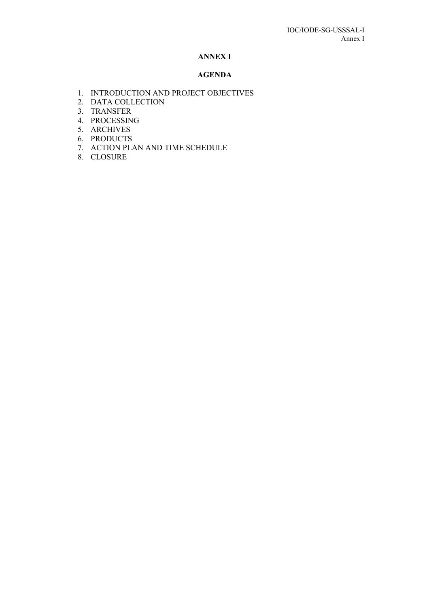## **ANNEX I**

#### **AGENDA**

- 1. INTRODUCTION AND PROJECT OBJECTIVES
- 2. DATA COLLECTION
- 3. TRANSFER
- 4. PROCESSING
- 5. ARCHIVES
- 6. PRODUCTS
- 7. ACTION PLAN AND TIME SCHEDULE
- 8. CLOSURE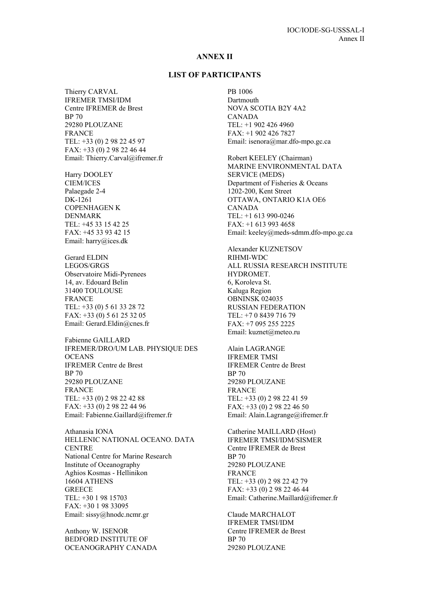#### **ANNEX II**

## **LIST OF PARTICIPANTS**

Thierry CARVAL IFREMER TMSI/IDM Centre IFREMER de Brest BP 70 29280 PLOUZANE FRANCE TEL: +33 (0) 2 98 22 45 97 FAX: +33 (0) 2 98 22 46 44 Email: Thierry.Carval@ifremer.fr

Harry DOOLEY CIEM/ICES Palaegade 2-4 DK-1261 COPENHAGEN K DENMARK TEL: +45 33 15 42 25 FAX: +45 33 93 42 15 Email: harry@ices.dk

Gerard ELDIN LEGOS/GRGS Observatoire Midi-Pyrenees 14, av. Edouard Belin 31400 TOULOUSE FRANCE TEL: +33 (0) 5 61 33 28 72 FAX: +33 (0) 5 61 25 32 05 Email: Gerard.Eldin@cnes.fr

Fabienne GAILLARD IFREMER/DRO/UM LAB. PHYSIQUE DES **OCEANS** IFREMER Centre de Brest BP 70 29280 PLOUZANE FRANCE TEL: +33 (0) 2 98 22 42 88 FAX: +33 (0) 2 98 22 44 96 Email: Fabienne.Gaillard@ifremer.fr

Athanasia IONA HELLENIC NATIONAL OCEANO. DATA **CENTRE** National Centre for Marine Research Institute of Oceanography Aghios Kosmas - Hellinikon 16604 ATHENS **GREECE** TEL: +30 1 98 15703 FAX: +30 1 98 33095 Email: sissy@hnodc.ncmr.gr

Anthony W. ISENOR BEDFORD INSTITUTE OF OCEANOGRAPHY CANADA PB 1006 Dartmouth NOVA SCOTIA B2Y 4A2 CANADA TEL: +1 902 426 4960 FAX: +1 902 426 7827 Email: isenora@mar.dfo-mpo.gc.ca

Robert KEELEY (Chairman) MARINE ENVIRONMENTAL DATA SERVICE (MEDS) Department of Fisheries & Oceans 1202-200, Kent Street OTTAWA, ONTARIO K1A OE6 CANADA TEL: +1 613 990-0246 FAX: +1 613 993 4658 Email: keeley@meds-sdmm.dfo-mpo.gc.ca

Alexander KUZNETSOV RIHMI-WDC ALL RUSSIA RESEARCH INSTITUTE HYDROMET. 6, Koroleva St. Kaluga Region OBNINSK 024035 RUSSIAN FEDERATION TEL: +7 0 8439 716 79 FAX: +7 095 255 2225 Email: kuznet@meteo.ru

Alain LAGRANGE IFREMER TMSI IFREMER Centre de Brest BP 70 29280 PLOUZANE FRANCE TEL: +33 (0) 2 98 22 41 59 FAX: +33 (0) 2 98 22 46 50 Email: Alain.Lagrange@ifremer.fr

Catherine MAILLARD (Host) IFREMER TMSI/IDM/SISMER Centre IFREMER de Brest BP 70 29280 PLOUZANE FRANCE TEL: +33 (0) 2 98 22 42 79 FAX: +33 (0) 2 98 22 46 44 Email: Catherine.Maillard@ifremer.fr

Claude MARCHALOT IFREMER TMSI/IDM Centre IFREMER de Brest BP 70 29280 PLOUZANE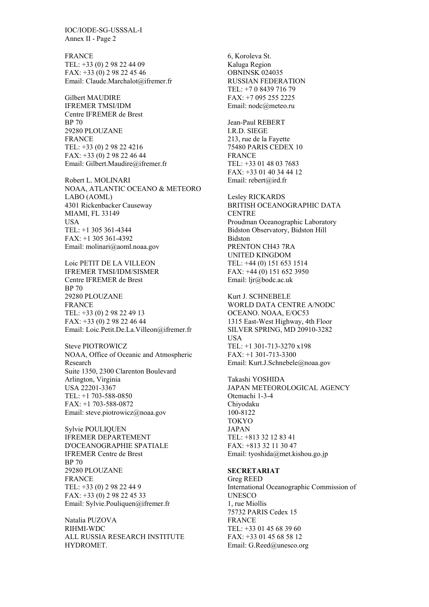IOC/IODE-SG-USSSAL-I Annex II - Page 2

FRANCE TEL: +33 (0) 2 98 22 44 09 FAX: +33 (0) 2 98 22 45 46 Email: Claude.Marchalot@ifremer.fr

Gilbert MAUDIRE IFREMER TMSI/IDM Centre IFREMER de Brest BP 70 29280 PLOUZANE FRANCE TEL: +33 (0) 2 98 22 4216 FAX: +33 (0) 2 98 22 46 44 Email: Gilbert.Maudire@ifremer.fr

Robert L. MOLINARI NOAA, ATLANTIC OCEANO & METEORO LABO (AOML) 4301 Rickenbacker Causeway MIAMI, FL 33149 **IISA** TEL: +1 305 361-4344 FAX: +1 305 361-4392 Email: molinari@aoml.noaa.gov

Loic PETIT DE LA VILLEON IFREMER TMSI/IDM/SISMER Centre IFREMER de Brest BP 70 29280 PLOUZANE FRANCE TEL: +33 (0) 2 98 22 49 13 FAX: +33 (0) 2 98 22 46 44 Email: Loic.Petit.De.La.Villeon@ifremer.fr

Steve PIOTROWICZ NOAA, Office of Oceanic and Atmospheric Research Suite 1350, 2300 Clarenton Boulevard Arlington, Virginia USA 22201-3367 TEL: +1 703-588-0850 FAX: +1 703-588-0872 Email: steve.piotrowicz@noaa.gov

Sylvie POULIQUEN IFREMER DEPARTEMENT D'OCEANOGRAPHIE SPATIALE IFREMER Centre de Brest BP 70 29280 PLOUZANE **FRANCE** TEL: +33 (0) 2 98 22 44 9 FAX: +33 (0) 2 98 22 45 33 Email: Sylvie.Pouliquen@ifremer.fr

Natalia PUZOVA RIHMI-WDC ALL RUSSIA RESEARCH INSTITUTE HYDROMET.

6, Koroleva St. Kaluga Region OBNINSK 024035 RUSSIAN FEDERATION TEL: +7 0 8439 716 79 FAX: +7 095 255 2225 Email: nodc@meteo.ru Jean-Paul REBERT I.R.D. SIEGE 213, rue de la Fayette 75480 PARIS CEDEX 10 FRANCE TEL: +33 01 48 03 7683 FAX: +33 01 40 34 44 12 Email: rebert@ird.fr Lesley RICKARDS BRITISH OCEANOGRAPHIC DATA **CENTRE** Proudman Oceanographic Laboratory Bidston Observatory, Bidston Hill Bidston PRENTON CH43 7RA UNITED KINGDOM

TEL: +44 (0) 151 653 1514 FAX: +44 (0) 151 652 3950 Email: ljr@bodc.ac.uk

Kurt J. SCHNEBELE WORLD DATA CENTRE A/NODC OCEANO. NOAA, E/OC53 1315 East-West Highway, 4th Floor SILVER SPRING, MD 20910-3282 **USA** TEL: +1 301-713-3270 x198  $FAX: +1$  301-713-3300 Email: Kurt.J.Schnebele@noaa.gov

Takashi YOSHIDA JAPAN METEOROLOGICAL AGENCY Otemachi 1-3-4 Chiyodaku 100-8122 TOKYO JAPAN TEL: +813 32 12 83 41 FAX: +813 32 11 30 47 Email: tyoshida@met.kishou.go.jp

#### **SECRETARIAT**

Greg REED International Oceanographic Commission of **UNESCO** 1, rue Miollis 75732 PARIS Cedex 15 FRANCE TEL: +33 01 45 68 39 60 FAX: +33 01 45 68 58 12 Email: G.Reed@unesco.org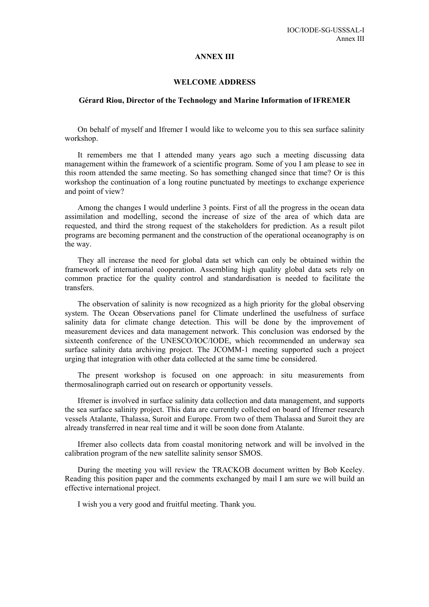#### **ANNEX III**

#### **WELCOME ADDRESS**

#### **Gérard Riou, Director of the Technology and Marine Information of IFREMER**

On behalf of myself and Ifremer I would like to welcome you to this sea surface salinity workshop.

It remembers me that I attended many years ago such a meeting discussing data management within the framework of a scientific program. Some of you I am please to see in this room attended the same meeting. So has something changed since that time? Or is this workshop the continuation of a long routine punctuated by meetings to exchange experience and point of view?

Among the changes I would underline 3 points. First of all the progress in the ocean data assimilation and modelling, second the increase of size of the area of which data are requested, and third the strong request of the stakeholders for prediction. As a result pilot programs are becoming permanent and the construction of the operational oceanography is on the way.

They all increase the need for global data set which can only be obtained within the framework of international cooperation. Assembling high quality global data sets rely on common practice for the quality control and standardisation is needed to facilitate the transfers.

The observation of salinity is now recognized as a high priority for the global observing system. The Ocean Observations panel for Climate underlined the usefulness of surface salinity data for climate change detection. This will be done by the improvement of measurement devices and data management network. This conclusion was endorsed by the sixteenth conference of the UNESCO/IOC/IODE, which recommended an underway sea surface salinity data archiving project. The JCOMM-1 meeting supported such a project urging that integration with other data collected at the same time be considered.

The present workshop is focused on one approach: in situ measurements from thermosalinograph carried out on research or opportunity vessels.

Ifremer is involved in surface salinity data collection and data management, and supports the sea surface salinity project. This data are currently collected on board of Ifremer research vessels Atalante, Thalassa, Suroit and Europe. From two of them Thalassa and Suroit they are already transferred in near real time and it will be soon done from Atalante.

Ifremer also collects data from coastal monitoring network and will be involved in the calibration program of the new satellite salinity sensor SMOS.

During the meeting you will review the TRACKOB document written by Bob Keeley. Reading this position paper and the comments exchanged by mail I am sure we will build an effective international project.

I wish you a very good and fruitful meeting. Thank you.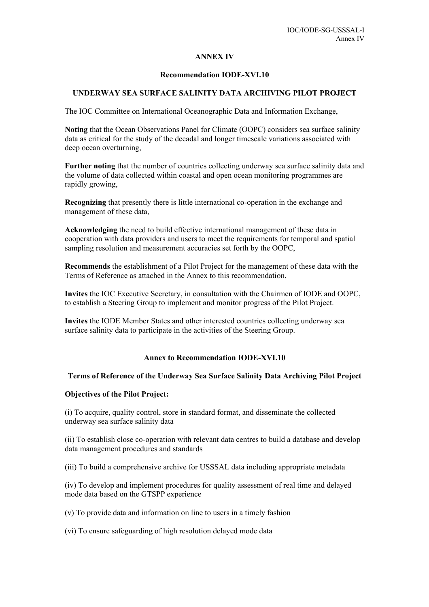## **ANNEX IV**

#### **Recommendation IODE-XVI.10**

# **UNDERWAY SEA SURFACE SALINITY DATA ARCHIVING PILOT PROJECT**

The IOC Committee on International Oceanographic Data and Information Exchange,

**Noting** that the Ocean Observations Panel for Climate (OOPC) considers sea surface salinity data as critical for the study of the decadal and longer timescale variations associated with deep ocean overturning,

**Further noting** that the number of countries collecting underway sea surface salinity data and the volume of data collected within coastal and open ocean monitoring programmes are rapidly growing,

**Recognizing** that presently there is little international co-operation in the exchange and management of these data,

**Acknowledging** the need to build effective international management of these data in cooperation with data providers and users to meet the requirements for temporal and spatial sampling resolution and measurement accuracies set forth by the OOPC,

**Recommends** the establishment of a Pilot Project for the management of these data with the Terms of Reference as attached in the Annex to this recommendation,

**Invites** the IOC Executive Secretary, in consultation with the Chairmen of IODE and OOPC, to establish a Steering Group to implement and monitor progress of the Pilot Project.

**Invites** the IODE Member States and other interested countries collecting underway sea surface salinity data to participate in the activities of the Steering Group.

#### **Annex to Recommendation IODE-XVI.10**

# **Terms of Reference of the Underway Sea Surface Salinity Data Archiving Pilot Project**

#### **Objectives of the Pilot Project:**

(i) To acquire, quality control, store in standard format, and disseminate the collected underway sea surface salinity data

(ii) To establish close co-operation with relevant data centres to build a database and develop data management procedures and standards

(iii) To build a comprehensive archive for USSSAL data including appropriate metadata

(iv) To develop and implement procedures for quality assessment of real time and delayed mode data based on the GTSPP experience

(v) To provide data and information on line to users in a timely fashion

(vi) To ensure safeguarding of high resolution delayed mode data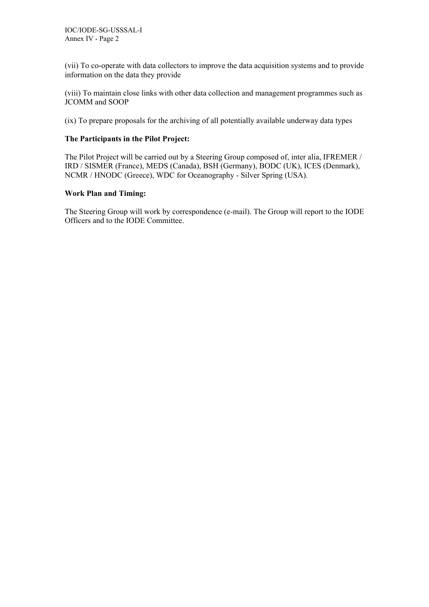(vii) To co-operate with data collectors to improve the data acquisition systems and to provide information on the data they provide

(viii) To maintain close links with other data collection and management programmes such as JCOMM and SOOP

(ix) To prepare proposals for the archiving of all potentially available underway data types

# **The Participants in the Pilot Project:**

The Pilot Project will be carried out by a Steering Group composed of, inter alia, IFREMER / IRD / SISMER (France), MEDS (Canada), BSH (Germany), BODC (UK), ICES (Denmark), NCMR / HNODC (Greece), WDC for Oceanography - Silver Spring (USA).

# **Work Plan and Timing:**

The Steering Group will work by correspondence (e-mail). The Group will report to the IODE Officers and to the IODE Committee.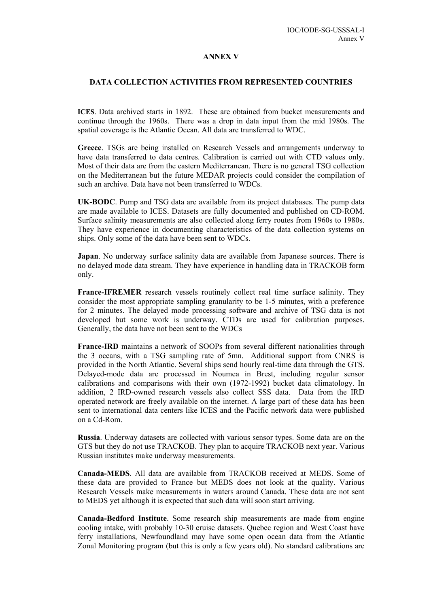#### **ANNEX V**

#### **DATA COLLECTION ACTIVITIES FROM REPRESENTED COUNTRIES**

**ICES**. Data archived starts in 1892. These are obtained from bucket measurements and continue through the 1960s. There was a drop in data input from the mid 1980s. The spatial coverage is the Atlantic Ocean. All data are transferred to WDC.

**Greece**. TSGs are being installed on Research Vessels and arrangements underway to have data transferred to data centres. Calibration is carried out with CTD values only. Most of their data are from the eastern Mediterranean. There is no general TSG collection on the Mediterranean but the future MEDAR projects could consider the compilation of such an archive. Data have not been transferred to WDCs.

**UK-BODC**. Pump and TSG data are available from its project databases. The pump data are made available to ICES. Datasets are fully documented and published on CD-ROM. Surface salinity measurements are also collected along ferry routes from 1960s to 1980s. They have experience in documenting characteristics of the data collection systems on ships. Only some of the data have been sent to WDCs.

**Japan**. No underway surface salinity data are available from Japanese sources. There is no delayed mode data stream. They have experience in handling data in TRACKOB form only.

**France-IFREMER** research vessels routinely collect real time surface salinity. They consider the most appropriate sampling granularity to be 1-5 minutes, with a preference for 2 minutes. The delayed mode processing software and archive of TSG data is not developed but some work is underway. CTDs are used for calibration purposes. Generally, the data have not been sent to the WDCs

**France-IRD** maintains a network of SOOPs from several different nationalities through the 3 oceans, with a TSG sampling rate of 5mn. Additional support from CNRS is provided in the North Atlantic. Several ships send hourly real-time data through the GTS. Delayed-mode data are processed in Noumea in Brest, including regular sensor calibrations and comparisons with their own (1972-1992) bucket data climatology. In addition, 2 IRD-owned research vessels also collect SSS data. Data from the IRD operated network are freely available on the internet. A large part of these data has been sent to international data centers like ICES and the Pacific network data were published on a Cd-Rom.

**Russia**. Underway datasets are collected with various sensor types. Some data are on the GTS but they do not use TRACKOB. They plan to acquire TRACKOB next year. Various Russian institutes make underway measurements.

**Canada-MEDS**. All data are available from TRACKOB received at MEDS. Some of these data are provided to France but MEDS does not look at the quality. Various Research Vessels make measurements in waters around Canada. These data are not sent to MEDS yet although it is expected that such data will soon start arriving.

**Canada-Bedford Institute**. Some research ship measurements are made from engine cooling intake, with probably 10-30 cruise datasets. Quebec region and West Coast have ferry installations, Newfoundland may have some open ocean data from the Atlantic Zonal Monitoring program (but this is only a few years old). No standard calibrations are